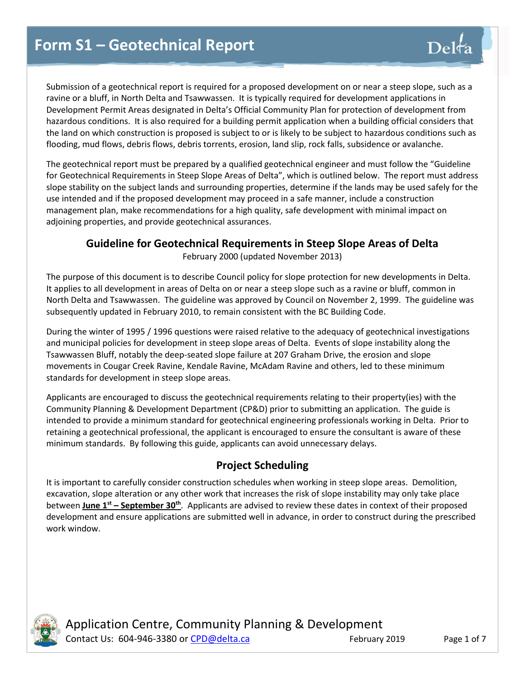Submission of a geotechnical report is required for a proposed development on or near a steep slope, such as a ravine or a bluff, in North Delta and Tsawwassen. It is typically required for development applications in Development Permit Areas designated in Delta's Official Community Plan for protection of development from hazardous conditions. It is also required for a building permit application when a building official considers that the land on which construction is proposed is subject to or is likely to be subject to hazardous conditions such as flooding, mud flows, debris flows, debris torrents, erosion, land slip, rock falls, subsidence or avalanche.

The geotechnical report must be prepared by a qualified geotechnical engineer and must follow the "Guideline for Geotechnical Requirements in Steep Slope Areas of Delta", which is outlined below. The report must address slope stability on the subject lands and surrounding properties, determine if the lands may be used safely for the use intended and if the proposed development may proceed in a safe manner, include a construction management plan, make recommendations for a high quality, safe development with minimal impact on adjoining properties, and provide geotechnical assurances.

## **Guideline for Geotechnical Requirements in Steep Slope Areas of Delta**

February 2000 (updated November 2013)

The purpose of this document is to describe Council policy for slope protection for new developments in Delta. It applies to all development in areas of Delta on or near a steep slope such as a ravine or bluff, common in North Delta and Tsawwassen. The guideline was approved by Council on November 2, 1999. The guideline was subsequently updated in February 2010, to remain consistent with the BC Building Code.

During the winter of 1995 / 1996 questions were raised relative to the adequacy of geotechnical investigations and municipal policies for development in steep slope areas of Delta. Events of slope instability along the Tsawwassen Bluff, notably the deep-seated slope failure at 207 Graham Drive, the erosion and slope movements in Cougar Creek Ravine, Kendale Ravine, McAdam Ravine and others, led to these minimum standards for development in steep slope areas.

Applicants are encouraged to discuss the geotechnical requirements relating to their property(ies) with the Community Planning & Development Department (CP&D) prior to submitting an application. The guide is intended to provide a minimum standard for geotechnical engineering professionals working in Delta. Prior to retaining a geotechnical professional, the applicant is encouraged to ensure the consultant is aware of these minimum standards. By following this guide, applicants can avoid unnecessary delays.

# **Project Scheduling**

It is important to carefully consider construction schedules when working in steep slope areas. Demolition, excavation, slope alteration or any other work that increases the risk of slope instability may only take place between **June 1st – September 30th** . Applicants are advised to review these dates in context of their proposed development and ensure applications are submitted well in advance, in order to construct during the prescribed work window.



Application Centre, Community Planning & Development Contact Us: 604-946-3380 or [CPD@delta.ca](mailto:CPD@delta.ca) February 2019 Page 1 of 7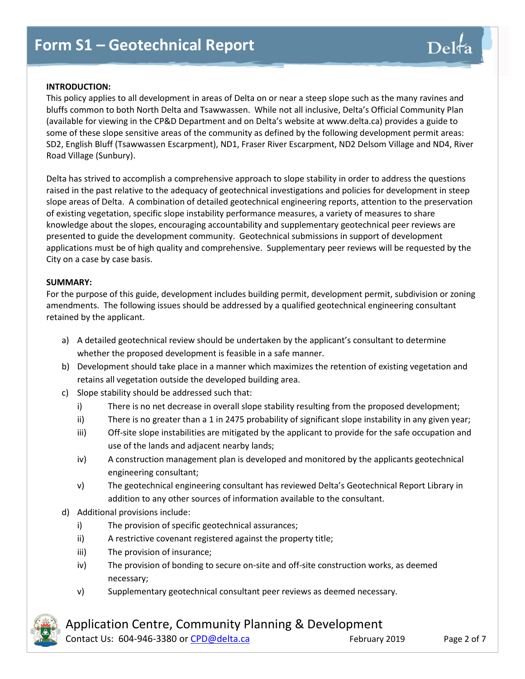### **INTRODUCTION:**

This policy applies to all development in areas of Delta on or near a steep slope such as the many ravines and bluffs common to both North Delta and Tsawwassen. While not all inclusive, Delta's Official Community Plan (available for viewing in the CP&D Department and on Delta's website at www.delta.ca) provides a guide to some of these slope sensitive areas of the community as defined by the following development permit areas: SD2, English Bluff (Tsawwassen Escarpment), ND1, Fraser River Escarpment, ND2 Delsom Village and ND4, River Road Village (Sunbury).

Delta has strived to accomplish a comprehensive approach to slope stability in order to address the questions raised in the past relative to the adequacy of geotechnical investigations and policies for development in steep slope areas of Delta. A combination of detailed geotechnical engineering reports, attention to the preservation of existing vegetation, specific slope instability performance measures, a variety of measures to share knowledge about the slopes, encouraging accountability and supplementary geotechnical peer reviews are presented to guide the development community. Geotechnical submissions in support of development applications must be of high quality and comprehensive. Supplementary peer reviews will be requested by the City on a case by case basis.

### **SUMMARY:**

For the purpose of this guide, development includes building permit, development permit, subdivision or zoning amendments. The following issues should be addressed by a qualified geotechnical engineering consultant retained by the applicant.

- a) A detailed geotechnical review should be undertaken by the applicant's consultant to determine whether the proposed development is feasible in a safe manner.
- b) Development should take place in a manner which maximizes the retention of existing vegetation and retains all vegetation outside the developed building area.
- c) Slope stability should be addressed such that:
	- i) There is no net decrease in overall slope stability resulting from the proposed development;
	- ii) There is no greater than a 1 in 2475 probability of significant slope instability in any given year;
	- iii) Off-site slope instabilities are mitigated by the applicant to provide for the safe occupation and use of the lands and adjacent nearby lands;
	- iv) A construction management plan is developed and monitored by the applicants geotechnical engineering consultant;
	- v) The geotechnical engineering consultant has reviewed Delta's Geotechnical Report Library in addition to any other sources of information available to the consultant.
- d) Additional provisions include:
	- i) The provision of specific geotechnical assurances;
	- ii) A restrictive covenant registered against the property title;
	- iii) The provision of insurance;
	- iv) The provision of bonding to secure on-site and off-site construction works, as deemed necessary;
	- v) Supplementary geotechnical consultant peer reviews as deemed necessary.



Application Centre, Community Planning & Development

Contact Us: 604-946-3380 or [CPD@delta.ca](mailto:CPD@delta.ca) February 2019 Page 2 of 7

 $\mathrm{Del}$ ta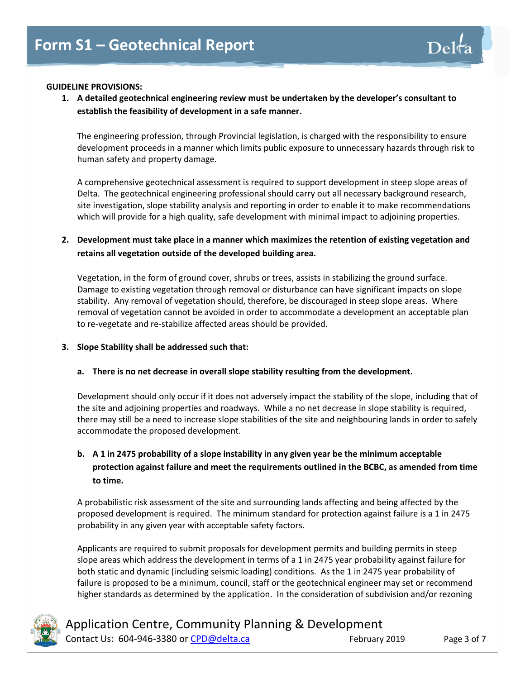### **GUIDELINE PROVISIONS:**

**1. A detailed geotechnical engineering review must be undertaken by the developer's consultant to establish the feasibility of development in a safe manner.**

The engineering profession, through Provincial legislation, is charged with the responsibility to ensure development proceeds in a manner which limits public exposure to unnecessary hazards through risk to human safety and property damage.

A comprehensive geotechnical assessment is required to support development in steep slope areas of Delta. The geotechnical engineering professional should carry out all necessary background research, site investigation, slope stability analysis and reporting in order to enable it to make recommendations which will provide for a high quality, safe development with minimal impact to adjoining properties.

### **2. Development must take place in a manner which maximizes the retention of existing vegetation and retains all vegetation outside of the developed building area.**

Vegetation, in the form of ground cover, shrubs or trees, assists in stabilizing the ground surface. Damage to existing vegetation through removal or disturbance can have significant impacts on slope stability. Any removal of vegetation should, therefore, be discouraged in steep slope areas. Where removal of vegetation cannot be avoided in order to accommodate a development an acceptable plan to re-vegetate and re-stabilize affected areas should be provided.

### **3. Slope Stability shall be addressed such that:**

### **a. There is no net decrease in overall slope stability resulting from the development.**

Development should only occur if it does not adversely impact the stability of the slope, including that of the site and adjoining properties and roadways. While a no net decrease in slope stability is required, there may still be a need to increase slope stabilities of the site and neighbouring lands in order to safely accommodate the proposed development.

## **b. A 1 in 2475 probability of a slope instability in any given year be the minimum acceptable protection against failure and meet the requirements outlined in the BCBC, as amended from time to time.**

A probabilistic risk assessment of the site and surrounding lands affecting and being affected by the proposed development is required. The minimum standard for protection against failure is a 1 in 2475 probability in any given year with acceptable safety factors.

Applicants are required to submit proposals for development permits and building permits in steep slope areas which address the development in terms of a 1 in 2475 year probability against failure for both static and dynamic (including seismic loading) conditions. As the 1 in 2475 year probability of failure is proposed to be a minimum, council, staff or the geotechnical engineer may set or recommend higher standards as determined by the application. In the consideration of subdivision and/or rezoning



Application Centre, Community Planning & Development Contact Us: 604-946-3380 or [CPD@delta.ca](mailto:CPD@delta.ca) February 2019 Page 3 of 7

 $\mathrm{Del}$ t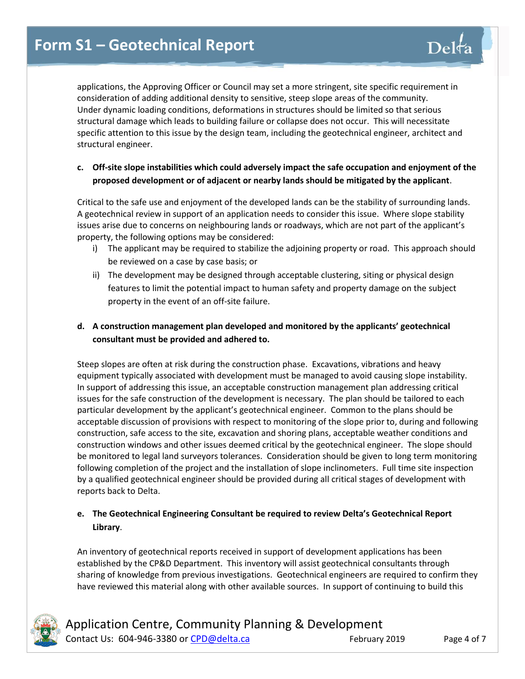applications, the Approving Officer or Council may set a more stringent, site specific requirement in consideration of adding additional density to sensitive, steep slope areas of the community. Under dynamic loading conditions, deformations in structures should be limited so that serious structural damage which leads to building failure or collapse does not occur. This will necessitate specific attention to this issue by the design team, including the geotechnical engineer, architect and structural engineer.

### **c. Off-site slope instabilities which could adversely impact the safe occupation and enjoyment of the proposed development or of adjacent or nearby lands should be mitigated by the applicant**.

Critical to the safe use and enjoyment of the developed lands can be the stability of surrounding lands. A geotechnical review in support of an application needs to consider this issue. Where slope stability issues arise due to concerns on neighbouring lands or roadways, which are not part of the applicant's property, the following options may be considered:

- i) The applicant may be required to stabilize the adjoining property or road. This approach should be reviewed on a case by case basis; or
- ii) The development may be designed through acceptable clustering, siting or physical design features to limit the potential impact to human safety and property damage on the subject property in the event of an off-site failure.

## **d. A construction management plan developed and monitored by the applicants' geotechnical consultant must be provided and adhered to.**

Steep slopes are often at risk during the construction phase. Excavations, vibrations and heavy equipment typically associated with development must be managed to avoid causing slope instability. In support of addressing this issue, an acceptable construction management plan addressing critical issues for the safe construction of the development is necessary. The plan should be tailored to each particular development by the applicant's geotechnical engineer. Common to the plans should be acceptable discussion of provisions with respect to monitoring of the slope prior to, during and following construction, safe access to the site, excavation and shoring plans, acceptable weather conditions and construction windows and other issues deemed critical by the geotechnical engineer. The slope should be monitored to legal land surveyors tolerances. Consideration should be given to long term monitoring following completion of the project and the installation of slope inclinometers. Full time site inspection by a qualified geotechnical engineer should be provided during all critical stages of development with reports back to Delta.

## **e. The Geotechnical Engineering Consultant be required to review Delta's Geotechnical Report Library**.

An inventory of geotechnical reports received in support of development applications has been established by the CP&D Department. This inventory will assist geotechnical consultants through sharing of knowledge from previous investigations. Geotechnical engineers are required to confirm they have reviewed this material along with other available sources. In support of continuing to build this

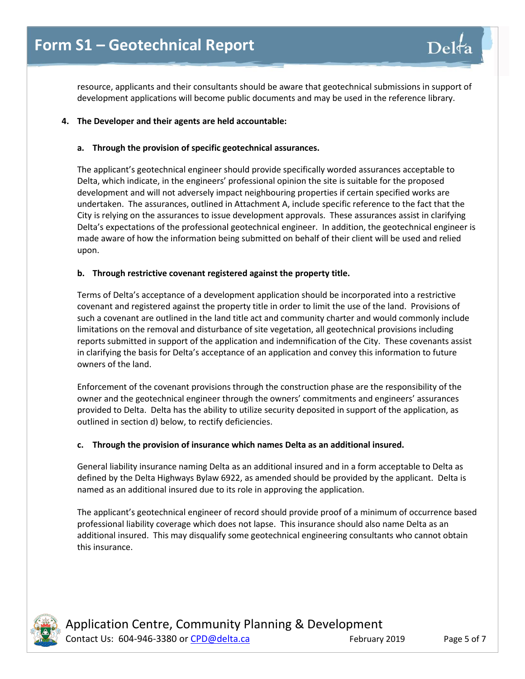resource, applicants and their consultants should be aware that geotechnical submissions in support of development applications will become public documents and may be used in the reference library.

### **4. The Developer and their agents are held accountable:**

### **a. Through the provision of specific geotechnical assurances.**

The applicant's geotechnical engineer should provide specifically worded assurances acceptable to Delta, which indicate, in the engineers' professional opinion the site is suitable for the proposed development and will not adversely impact neighbouring properties if certain specified works are undertaken. The assurances, outlined in Attachment A, include specific reference to the fact that the City is relying on the assurances to issue development approvals. These assurances assist in clarifying Delta's expectations of the professional geotechnical engineer. In addition, the geotechnical engineer is made aware of how the information being submitted on behalf of their client will be used and relied upon.

### **b. Through restrictive covenant registered against the property title.**

Terms of Delta's acceptance of a development application should be incorporated into a restrictive covenant and registered against the property title in order to limit the use of the land. Provisions of such a covenant are outlined in the land title act and community charter and would commonly include limitations on the removal and disturbance of site vegetation, all geotechnical provisions including reports submitted in support of the application and indemnification of the City. These covenants assist in clarifying the basis for Delta's acceptance of an application and convey this information to future owners of the land.

Enforcement of the covenant provisions through the construction phase are the responsibility of the owner and the geotechnical engineer through the owners' commitments and engineers' assurances provided to Delta. Delta has the ability to utilize security deposited in support of the application, as outlined in section d) below, to rectify deficiencies.

#### **c. Through the provision of insurance which names Delta as an additional insured.**

General liability insurance naming Delta as an additional insured and in a form acceptable to Delta as defined by the Delta Highways Bylaw 6922, as amended should be provided by the applicant. Delta is named as an additional insured due to its role in approving the application.

The applicant's geotechnical engineer of record should provide proof of a minimum of occurrence based professional liability coverage which does not lapse. This insurance should also name Delta as an additional insured. This may disqualify some geotechnical engineering consultants who cannot obtain this insurance.



Application Centre, Community Planning & Development Contact Us: 604-946-3380 or [CPD@delta.ca](mailto:CPD@delta.ca) February 2019 Page 5 of 7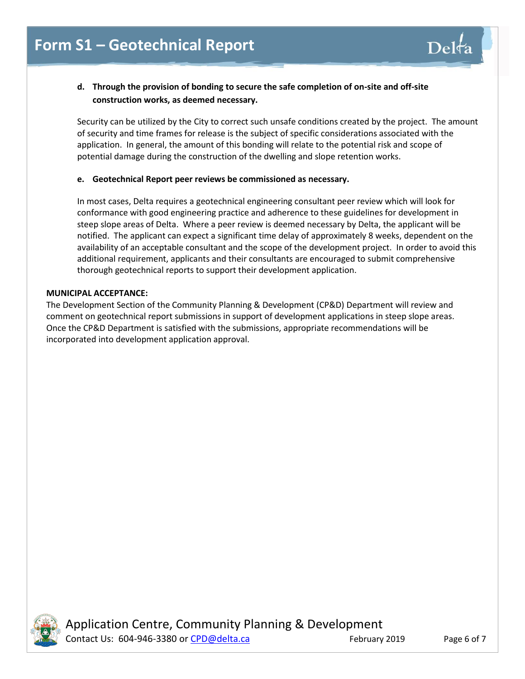## **d. Through the provision of bonding to secure the safe completion of on-site and off-site construction works, as deemed necessary.**

Security can be utilized by the City to correct such unsafe conditions created by the project. The amount of security and time frames for release is the subject of specific considerations associated with the application. In general, the amount of this bonding will relate to the potential risk and scope of potential damage during the construction of the dwelling and slope retention works.

### **e. Geotechnical Report peer reviews be commissioned as necessary.**

In most cases, Delta requires a geotechnical engineering consultant peer review which will look for conformance with good engineering practice and adherence to these guidelines for development in steep slope areas of Delta. Where a peer review is deemed necessary by Delta, the applicant will be notified. The applicant can expect a significant time delay of approximately 8 weeks, dependent on the availability of an acceptable consultant and the scope of the development project. In order to avoid this additional requirement, applicants and their consultants are encouraged to submit comprehensive thorough geotechnical reports to support their development application.

### **MUNICIPAL ACCEPTANCE:**

The Development Section of the Community Planning & Development (CP&D) Department will review and comment on geotechnical report submissions in support of development applications in steep slope areas. Once the CP&D Department is satisfied with the submissions, appropriate recommendations will be incorporated into development application approval.